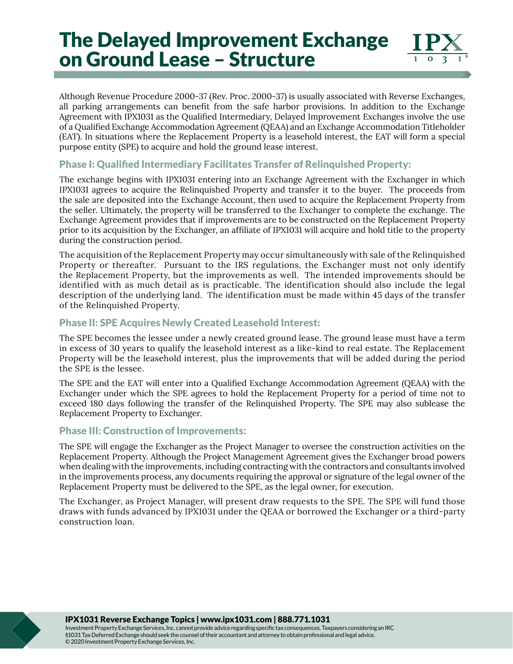# The Delayed Improvement Exchange on Ground Lease – Structure



Although Revenue Procedure 2000-37 (Rev. Proc. 2000-37) is usually associated with Reverse Exchanges, all parking arrangements can benefit from the safe harbor provisions. In addition to the Exchange Agreement with IPX1031 as the Qualified Intermediary, Delayed Improvement Exchanges involve the use of a Qualified Exchange Accommodation Agreement (QEAA) and an Exchange Accommodation Titleholder (EAT). In situations where the Replacement Property is a leasehold interest, the EAT will form a special purpose entity (SPE) to acquire and hold the ground lease interest.

#### Phase I: Qualified Intermediary Facilitates Transfer of Relinquished Property:

The exchange begins with IPX1031 entering into an Exchange Agreement with the Exchanger in which IPX1031 agrees to acquire the Relinquished Property and transfer it to the buyer. The proceeds from the sale are deposited into the Exchange Account, then used to acquire the Replacement Property from the seller. Ultimately, the property will be transferred to the Exchanger to complete the exchange. The Exchange Agreement provides that if improvements are to be constructed on the Replacement Property prior to its acquisition by the Exchanger, an affiliate of IPX1031 will acquire and hold title to the property during the construction period.

The acquisition of the Replacement Property may occur simultaneously with sale of the Relinquished Property or thereafter. Pursuant to the IRS regulations, the Exchanger must not only identify the Replacement Property, but the improvements as well. The intended improvements should be identified with as much detail as is practicable. The identification should also include the legal description of the underlying land. The identification must be made within 45 days of the transfer of the Relinquished Property.

### Phase II: SPE Acquires Newly Created Leasehold Interest:

The SPE becomes the lessee under a newly created ground lease. The ground lease must have a term in excess of 30 years to qualify the leasehold interest as a like-kind to real estate. The Replacement Property will be the leasehold interest, plus the improvements that will be added during the period the SPE is the lessee.

The SPE and the EAT will enter into a Qualified Exchange Accommodation Agreement (QEAA) with the Exchanger under which the SPE agrees to hold the Replacement Property for a period of time not to exceed 180 days following the transfer of the Relinquished Property. The SPE may also sublease the Replacement Property to Exchanger.

#### Phase III: Construction of Improvements:

The SPE will engage the Exchanger as the Project Manager to oversee the construction activities on the Replacement Property. Although the Project Management Agreement gives the Exchanger broad powers when dealing with the improvements, including contracting with the contractors and consultants involved in the improvements process, any documents requiring the approval or signature of the legal owner of the Replacement Property must be delivered to the SPE, as the legal owner, for execution.

The Exchanger, as Project Manager, will present draw requests to the SPE. The SPE will fund those draws with funds advanced by IPX1031 under the QEAA or borrowed the Exchanger or a third-party construction loan.

IPX1031 Reverse Exchange Topics | www.ipx1031.com | 888.771.1031

Investment Property Exchange Services, Inc. cannot provide advice regarding specific tax consequences. Taxpayers considering an IRC §1031 Tax Deferred Exchange should seek the counsel of their accountant and attorney to obtain professional and legal advice. © 2020 Investment Property Exchange Services, Inc.